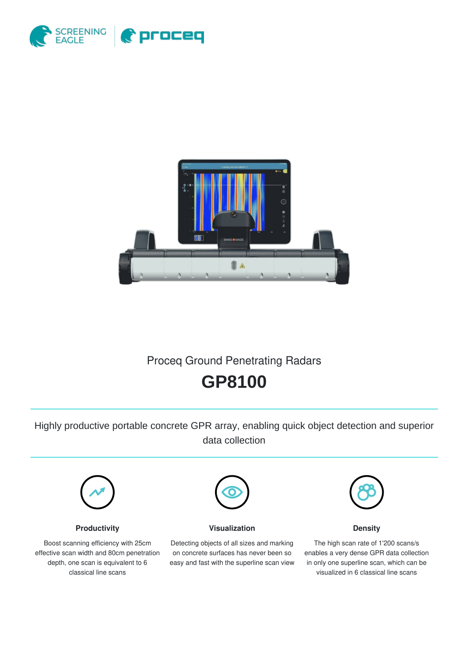



## Proceq Ground Penetrating Radars

# **GP8100**

Highly productive portable concrete GPR array, enabling quick object detection and superior data collection